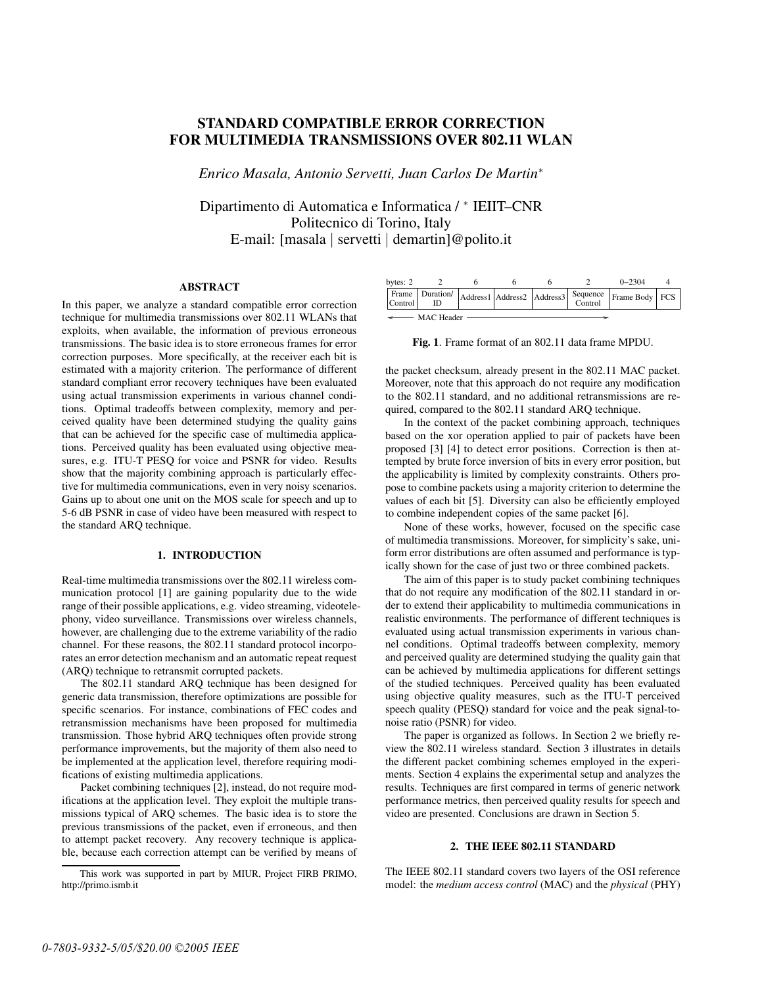# **STANDARD COMPATIBLE ERROR CORRECTION FOR MULTIMEDIA TRANSMISSIONS OVER 802.11 WLAN**

*Enrico Masala, Antonio Servetti, Juan Carlos De Martin*<sup>∗</sup>

Dipartimento di Automatica e Informatica / <sup>∗</sup> IEIIT–CNR Politecnico di Torino, Italy E-mail: [masala | servetti | demartin]@polito.it

# **ABSTRACT**

In this paper, we analyze a standard compatible error correction technique for multimedia transmissions over 802.11 WLANs that exploits, when available, the information of previous erroneous transmissions. The basic idea is to store erroneous frames for error correction purposes. More specifically, at the receiver each bit is estimated with a majority criterion. The performance of different standard compliant error recovery techniques have been evaluated using actual transmission experiments in various channel conditions. Optimal tradeoffs between complexity, memory and perceived quality have been determined studying the quality gains that can be achieved for the specific case of multimedia applications. Perceived quality has been evaluated using objective measures, e.g. ITU-T PESQ for voice and PSNR for video. Results show that the majority combining approach is particularly effective for multimedia communications, even in very noisy scenarios. Gains up to about one unit on the MOS scale for speech and up to 5-6 dB PSNR in case of video have been measured with respect to the standard ARQ technique.

#### **1. INTRODUCTION**

Real-time multimedia transmissions over the 802.11 wireless communication protocol [1] are gaining popularity due to the wide range of their possible applications, e.g. video streaming, videotelephony, video surveillance. Transmissions over wireless channels, however, are challenging due to the extreme variability of the radio channel. For these reasons, the 802.11 standard protocol incorporates an error detection mechanism and an automatic repeat request (ARQ) technique to retransmit corrupted packets.

The 802.11 standard ARQ technique has been designed for generic data transmission, therefore optimizations are possible for specific scenarios. For instance, combinations of FEC codes and retransmission mechanisms have been proposed for multimedia transmission. Those hybrid ARQ techniques often provide strong performance improvements, but the majority of them also need to be implemented at the application level, therefore requiring modifications of existing multimedia applications.

Packet combining techniques [2], instead, do not require modifications at the application level. They exploit the multiple transmissions typical of ARQ schemes. The basic idea is to store the previous transmissions of the packet, even if erroneous, and then to attempt packet recovery. Any recovery technique is applicable, because each correction attempt can be verified by means of

| bytes: 2      |  |  |  |  |  | $0 - 2304$                                                         |  |  |
|---------------|--|--|--|--|--|--------------------------------------------------------------------|--|--|
|               |  |  |  |  |  | Frame Duration/ Address1 Address2 Address3 Sequence Frame Body FCS |  |  |
| —— MAC Header |  |  |  |  |  |                                                                    |  |  |

**Fig. 1**. Frame format of an 802.11 data frame MPDU.

the packet checksum, already present in the 802.11 MAC packet. Moreover, note that this approach do not require any modification to the 802.11 standard, and no additional retransmissions are required, compared to the 802.11 standard ARQ technique.

In the context of the packet combining approach, techniques based on the xor operation applied to pair of packets have been proposed [3] [4] to detect error positions. Correction is then attempted by brute force inversion of bits in every error position, but the applicability is limited by complexity constraints. Others propose to combine packets using a majority criterion to determine the values of each bit [5]. Diversity can also be efficiently employed to combine independent copies of the same packet [6].

None of these works, however, focused on the specific case of multimedia transmissions. Moreover, for simplicity's sake, uniform error distributions are often assumed and performance is typically shown for the case of just two or three combined packets.

The aim of this paper is to study packet combining techniques that do not require any modification of the 802.11 standard in order to extend their applicability to multimedia communications in realistic environments. The performance of different techniques is evaluated using actual transmission experiments in various channel conditions. Optimal tradeoffs between complexity, memory and perceived quality are determined studying the quality gain that can be achieved by multimedia applications for different settings of the studied techniques. Perceived quality has been evaluated using objective quality measures, such as the ITU-T perceived speech quality (PESQ) standard for voice and the peak signal-tonoise ratio (PSNR) for video.

The paper is organized as follows. In Section 2 we briefly review the 802.11 wireless standard. Section 3 illustrates in details the different packet combining schemes employed in the experiments. Section 4 explains the experimental setup and analyzes the results. Techniques are first compared in terms of generic network performance metrics, then perceived quality results for speech and video are presented. Conclusions are drawn in Section 5.

#### **2. THE IEEE 802.11 STANDARD**

The IEEE 802.11 standard covers two layers of the OSI reference model: the *medium access control* (MAC) and the *physical* (PHY)

This work was supported in part by MIUR, Project FIRB PRIMO, http://primo.ismb.it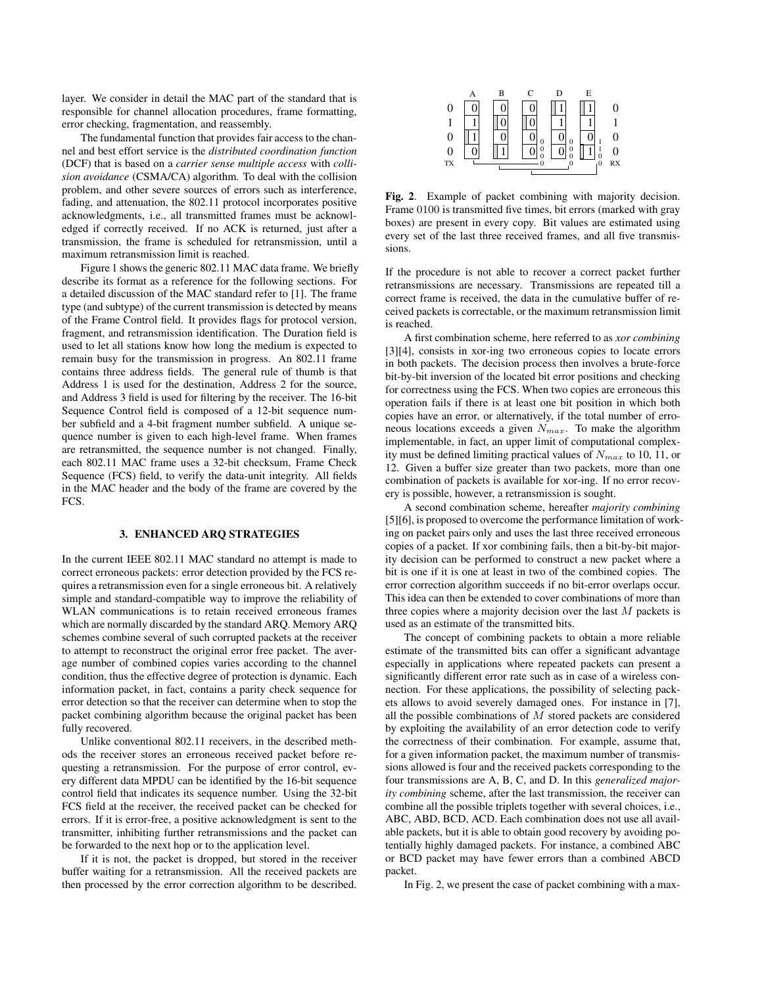layer. We consider in detail the MAC part of the standard that is responsible for channel allocation procedures, frame formatting, error checking, fragmentation, and reassembly.

The fundamental function that provides fair access to the channel and best effort service is the *distributed coordination function* (DCF) that is based on a *carrier sense multiple access* with *collision avoidance* (CSMA/CA) algorithm. To deal with the collision problem, and other severe sources of errors such as interference, fading, and attenuation, the 802.11 protocol incorporates positive acknowledgments, i.e., all transmitted frames must be acknowledged if correctly received. If no ACK is returned, just after a transmission, the frame is scheduled for retransmission, until a maximum retransmission limit is reached.

Figure 1 shows the generic 802.11 MAC data frame. We briefly describe its format as a reference for the following sections. For a detailed discussion of the MAC standard refer to [1]. The frame type (and subtype) of the current transmission is detected by means of the Frame Control field. It provides flags for protocol version, fragment, and retransmission identification. The Duration field is used to let all stations know how long the medium is expected to remain busy for the transmission in progress. An 802.11 frame contains three address fields. The general rule of thumb is that Address 1 is used for the destination, Address 2 for the source, and Address 3 field is used for filtering by the receiver. The 16-bit Sequence Control field is composed of a 12-bit sequence number subfield and a 4-bit fragment number subfield. A unique sequence number is given to each high-level frame. When frames are retransmitted, the sequence number is not changed. Finally, each 802.11 MAC frame uses a 32-bit checksum, Frame Check Sequence (FCS) field, to verify the data-unit integrity. All fields in the MAC header and the body of the frame are covered by the FCS.

#### **3. ENHANCED ARQ STRATEGIES**

In the current IEEE 802.11 MAC standard no attempt is made to correct erroneous packets: error detection provided by the FCS requires a retransmission even for a single erroneous bit. A relatively simple and standard-compatible way to improve the reliability of WLAN communications is to retain received erroneous frames which are normally discarded by the standard ARQ. Memory ARQ schemes combine several of such corrupted packets at the receiver to attempt to reconstruct the original error free packet. The average number of combined copies varies according to the channel condition, thus the effective degree of protection is dynamic. Each information packet, in fact, contains a parity check sequence for error detection so that the receiver can determine when to stop the packet combining algorithm because the original packet has been fully recovered.

Unlike conventional 802.11 receivers, in the described methods the receiver stores an erroneous received packet before requesting a retransmission. For the purpose of error control, every different data MPDU can be identified by the 16-bit sequence control field that indicates its sequence number. Using the 32-bit FCS field at the receiver, the received packet can be checked for errors. If it is error-free, a positive acknowledgment is sent to the transmitter, inhibiting further retransmissions and the packet can be forwarded to the next hop or to the application level.

If it is not, the packet is dropped, but stored in the receiver buffer waiting for a retransmission. All the received packets are then processed by the error correction algorithm to be described.



**Fig. 2**. Example of packet combining with majority decision. Frame 0100 is transmitted five times, bit errors (marked with gray boxes) are present in every copy. Bit values are estimated using every set of the last three received frames, and all five transmissions.

If the procedure is not able to recover a correct packet further retransmissions are necessary. Transmissions are repeated till a correct frame is received, the data in the cumulative buffer of received packets is correctable, or the maximum retransmission limit is reached.

A first combination scheme, here referred to as *xor combining* [3][4], consists in xor-ing two erroneous copies to locate errors in both packets. The decision process then involves a brute-force bit-by-bit inversion of the located bit error positions and checking for correctness using the FCS. When two copies are erroneous this operation fails if there is at least one bit position in which both copies have an error, or alternatively, if the total number of erroneous locations exceeds a given  $N_{max}$ . To make the algorithm implementable, in fact, an upper limit of computational complexity must be defined limiting practical values of  $N_{max}$  to 10, 11, or 12. Given a buffer size greater than two packets, more than one combination of packets is available for xor-ing. If no error recovery is possible, however, a retransmission is sought.

A second combination scheme, hereafter *majority combining* [5][6], is proposed to overcome the performance limitation of working on packet pairs only and uses the last three received erroneous copies of a packet. If xor combining fails, then a bit-by-bit majority decision can be performed to construct a new packet where a bit is one if it is one at least in two of the combined copies. The error correction algorithm succeeds if no bit-error overlaps occur. This idea can then be extended to cover combinations of more than three copies where a majority decision over the last  $M$  packets is used as an estimate of the transmitted bits.

The concept of combining packets to obtain a more reliable estimate of the transmitted bits can offer a significant advantage especially in applications where repeated packets can present a significantly different error rate such as in case of a wireless connection. For these applications, the possibility of selecting packets allows to avoid severely damaged ones. For instance in [7], all the possible combinations of  $M$  stored packets are considered by exploiting the availability of an error detection code to verify the correctness of their combination. For example, assume that, for a given information packet, the maximum number of transmissions allowed is four and the received packets corresponding to the four transmissions are A, B, C, and D. In this *generalized majority combining* scheme, after the last transmission, the receiver can combine all the possible triplets together with several choices, i.e., ABC, ABD, BCD, ACD. Each combination does not use all available packets, but it is able to obtain good recovery by avoiding potentially highly damaged packets. For instance, a combined ABC or BCD packet may have fewer errors than a combined ABCD packet.

In Fig. 2, we present the case of packet combining with a max-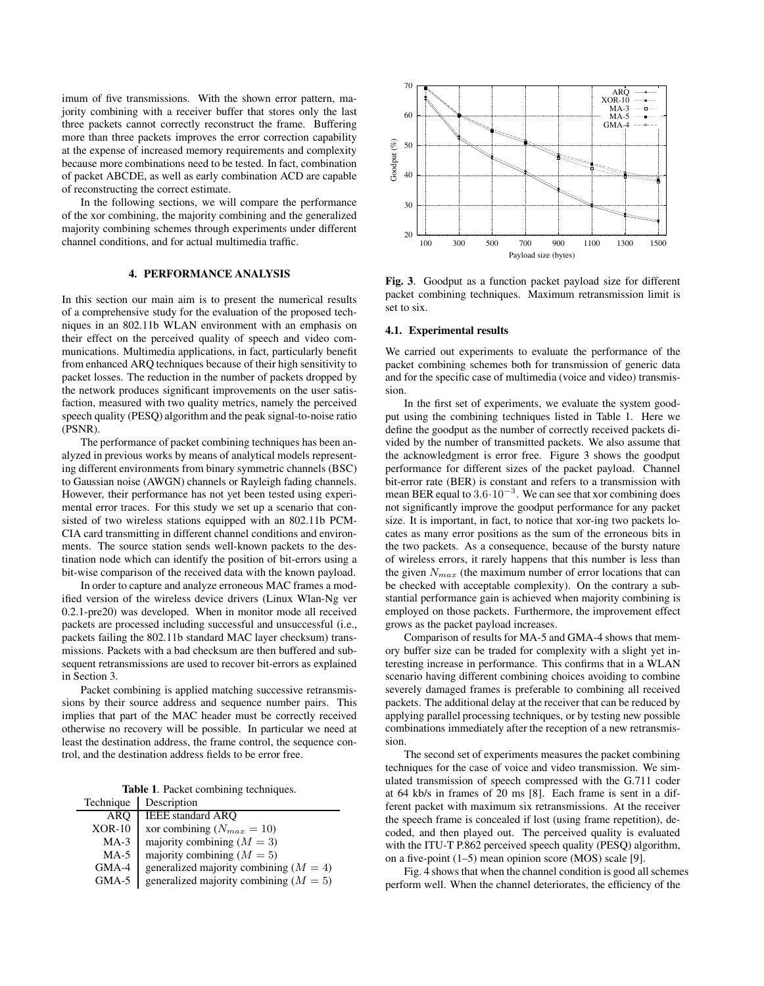imum of five transmissions. With the shown error pattern, majority combining with a receiver buffer that stores only the last three packets cannot correctly reconstruct the frame. Buffering more than three packets improves the error correction capability at the expense of increased memory requirements and complexity because more combinations need to be tested. In fact, combination of packet ABCDE, as well as early combination ACD are capable of reconstructing the correct estimate.

In the following sections, we will compare the performance of the xor combining, the majority combining and the generalized majority combining schemes through experiments under different channel conditions, and for actual multimedia traffic.

## **4. PERFORMANCE ANALYSIS**

In this section our main aim is to present the numerical results of a comprehensive study for the evaluation of the proposed techniques in an 802.11b WLAN environment with an emphasis on their effect on the perceived quality of speech and video communications. Multimedia applications, in fact, particularly benefit from enhanced ARQ techniques because of their high sensitivity to packet losses. The reduction in the number of packets dropped by the network produces significant improvements on the user satisfaction, measured with two quality metrics, namely the perceived speech quality (PESQ) algorithm and the peak signal-to-noise ratio (PSNR).

The performance of packet combining techniques has been analyzed in previous works by means of analytical models representing different environments from binary symmetric channels (BSC) to Gaussian noise (AWGN) channels or Rayleigh fading channels. However, their performance has not yet been tested using experimental error traces. For this study we set up a scenario that consisted of two wireless stations equipped with an 802.11b PCM-CIA card transmitting in different channel conditions and environments. The source station sends well-known packets to the destination node which can identify the position of bit-errors using a bit-wise comparison of the received data with the known payload.

In order to capture and analyze erroneous MAC frames a modified version of the wireless device drivers (Linux Wlan-Ng ver 0.2.1-pre20) was developed. When in monitor mode all received packets are processed including successful and unsuccessful (i.e., packets failing the 802.11b standard MAC layer checksum) transmissions. Packets with a bad checksum are then buffered and subsequent retransmissions are used to recover bit-errors as explained in Section 3.

Packet combining is applied matching successive retransmissions by their source address and sequence number pairs. This implies that part of the MAC header must be correctly received otherwise no recovery will be possible. In particular we need at least the destination address, the frame control, the sequence control, and the destination address fields to be error free.

**Table 1**. Packet combining techniques.

| Technique | Description                              |
|-----------|------------------------------------------|
| ARO       | <b>IEEE</b> standard ARQ                 |
| $XOR-10$  | xor combining $(N_{max} = 10)$           |
| $MA-3$    | majority combining $(M = 3)$             |
| $MA-5$    | majority combining $(M = 5)$             |
| $GMA-4$   | generalized majority combining $(M = 4)$ |
| $GMA-5$   | generalized majority combining $(M = 5)$ |
|           |                                          |



**Fig. 3**. Goodput as a function packet payload size for different packet combining techniques. Maximum retransmission limit is set to six.

#### **4.1. Experimental results**

We carried out experiments to evaluate the performance of the packet combining schemes both for transmission of generic data and for the specific case of multimedia (voice and video) transmission.

In the first set of experiments, we evaluate the system goodput using the combining techniques listed in Table 1. Here we define the goodput as the number of correctly received packets divided by the number of transmitted packets. We also assume that the acknowledgment is error free. Figure 3 shows the goodput performance for different sizes of the packet payload. Channel bit-error rate (BER) is constant and refers to a transmission with mean BER equal to  $3.6 \cdot 10^{-3}$ . We can see that xor combining does not significantly improve the goodput performance for any packet size. It is important, in fact, to notice that xor-ing two packets locates as many error positions as the sum of the erroneous bits in the two packets. As a consequence, because of the bursty nature of wireless errors, it rarely happens that this number is less than the given  $N_{max}$  (the maximum number of error locations that can be checked with acceptable complexity). On the contrary a substantial performance gain is achieved when majority combining is employed on those packets. Furthermore, the improvement effect grows as the packet payload increases.

Comparison of results for MA-5 and GMA-4 shows that memory buffer size can be traded for complexity with a slight yet interesting increase in performance. This confirms that in a WLAN scenario having different combining choices avoiding to combine severely damaged frames is preferable to combining all received packets. The additional delay at the receiver that can be reduced by applying parallel processing techniques, or by testing new possible combinations immediately after the reception of a new retransmission.

The second set of experiments measures the packet combining techniques for the case of voice and video transmission. We simulated transmission of speech compressed with the G.711 coder at 64 kb/s in frames of 20 ms [8]. Each frame is sent in a different packet with maximum six retransmissions. At the receiver the speech frame is concealed if lost (using frame repetition), decoded, and then played out. The perceived quality is evaluated with the ITU-T P.862 perceived speech quality (PESQ) algorithm, on a five-point (1–5) mean opinion score (MOS) scale [9].

Fig. 4 shows that when the channel condition is good all schemes perform well. When the channel deteriorates, the efficiency of the